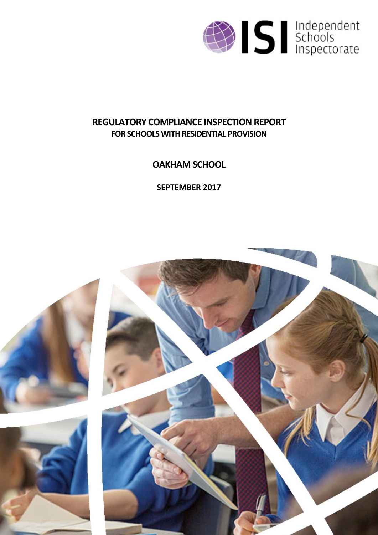

# **REGULATORY COMPLIANCE INSPECTION REPORT FOR SCHOOLS WITH RESIDENTIAL PROVISION**

**OAKHAM SCHOOL**

**SEPTEMBER 2017**

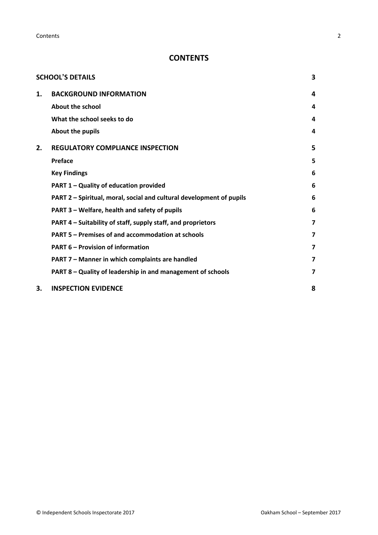**Contents** 2

# **CONTENTS**

|    | <b>SCHOOL'S DETAILS</b>                                              | 3 |
|----|----------------------------------------------------------------------|---|
| 1. | <b>BACKGROUND INFORMATION</b>                                        | 4 |
|    | About the school                                                     | 4 |
|    | What the school seeks to do                                          | 4 |
|    | About the pupils                                                     | 4 |
| 2. | <b>REGULATORY COMPLIANCE INSPECTION</b>                              | 5 |
|    | Preface                                                              | 5 |
|    | <b>Key Findings</b>                                                  | 6 |
|    | PART 1 - Quality of education provided                               | 6 |
|    | PART 2 - Spiritual, moral, social and cultural development of pupils | 6 |
|    | PART 3 - Welfare, health and safety of pupils                        | 6 |
|    | PART 4 – Suitability of staff, supply staff, and proprietors         | 7 |
|    | PART 5 – Premises of and accommodation at schools                    | 7 |
|    | <b>PART 6 - Provision of information</b>                             | 7 |
|    | PART 7 - Manner in which complaints are handled                      | 7 |
|    | PART 8 - Quality of leadership in and management of schools          | 7 |
| 3. | <b>INSPECTION EVIDENCE</b>                                           | 8 |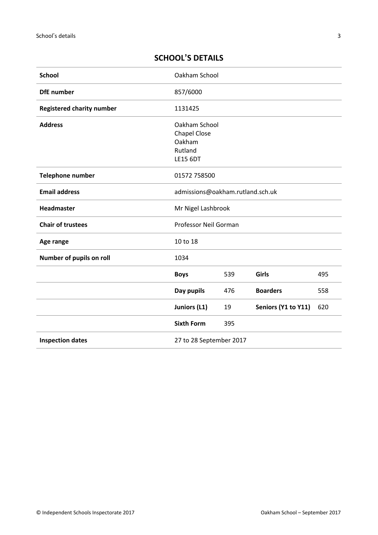| <b>School</b>                    | Oakham School                                                                |     |                     |     |
|----------------------------------|------------------------------------------------------------------------------|-----|---------------------|-----|
| <b>DfE</b> number                | 857/6000                                                                     |     |                     |     |
| <b>Registered charity number</b> | 1131425                                                                      |     |                     |     |
| <b>Address</b>                   | Oakham School<br><b>Chapel Close</b><br>Oakham<br>Rutland<br><b>LE15 6DT</b> |     |                     |     |
| Telephone number<br>01572 758500 |                                                                              |     |                     |     |
| <b>Email address</b>             | admissions@oakham.rutland.sch.uk                                             |     |                     |     |
| Headmaster                       | Mr Nigel Lashbrook                                                           |     |                     |     |
| <b>Chair of trustees</b>         | Professor Neil Gorman                                                        |     |                     |     |
| Age range                        | 10 to 18                                                                     |     |                     |     |
| Number of pupils on roll         | 1034                                                                         |     |                     |     |
|                                  | <b>Boys</b>                                                                  | 539 | Girls               | 495 |
|                                  | Day pupils                                                                   | 476 | <b>Boarders</b>     | 558 |
|                                  | Juniors (L1)                                                                 | 19  | Seniors (Y1 to Y11) | 620 |
|                                  | <b>Sixth Form</b>                                                            | 395 |                     |     |
| <b>Inspection dates</b>          | 27 to 28 September 2017                                                      |     |                     |     |

# <span id="page-2-0"></span>**SCHOOL'S DETAILS**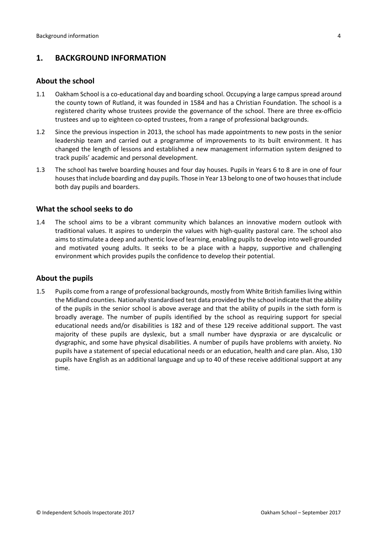# <span id="page-3-0"></span>**1. BACKGROUND INFORMATION**

#### <span id="page-3-1"></span>**About the school**

- 1.1 Oakham School is a co-educational day and boarding school. Occupying a large campus spread around the county town of Rutland, it was founded in 1584 and has a Christian Foundation. The school is a registered charity whose trustees provide the governance of the school. There are three ex-officio trustees and up to eighteen co-opted trustees, from a range of professional backgrounds.
- 1.2 Since the previous inspection in 2013, the school has made appointments to new posts in the senior leadership team and carried out a programme of improvements to its built environment. It has changed the length of lessons and established a new management information system designed to track pupils' academic and personal development.
- 1.3 The school has twelve boarding houses and four day houses. Pupils in Years 6 to 8 are in one of four houses that include boarding and day pupils. Those in Year 13 belong to one of two houses that include both day pupils and boarders.

### <span id="page-3-2"></span>**What the school seeks to do**

1.4 The school aims to be a vibrant community which balances an innovative modern outlook with traditional values. It aspires to underpin the values with high-quality pastoral care. The school also aimsto stimulate a deep and authentic love of learning, enabling pupilsto develop into well-grounded and motivated young adults. It seeks to be a place with a happy, supportive and challenging environment which provides pupils the confidence to develop their potential.

### <span id="page-3-3"></span>**About the pupils**

1.5 Pupils come from a range of professional backgrounds, mostly from White British families living within the Midland counties. Nationally standardised test data provided by the school indicate that the ability of the pupils in the senior school is above average and that the ability of pupils in the sixth form is broadly average. The number of pupils identified by the school as requiring support for special educational needs and/or disabilities is 182 and of these 129 receive additional support. The vast majority of these pupils are dyslexic, but a small number have dyspraxia or are dyscalculic or dysgraphic, and some have physical disabilities. A number of pupils have problems with anxiety. No pupils have a statement of special educational needs or an education, health and care plan. Also, 130 pupils have English as an additional language and up to 40 of these receive additional support at any time.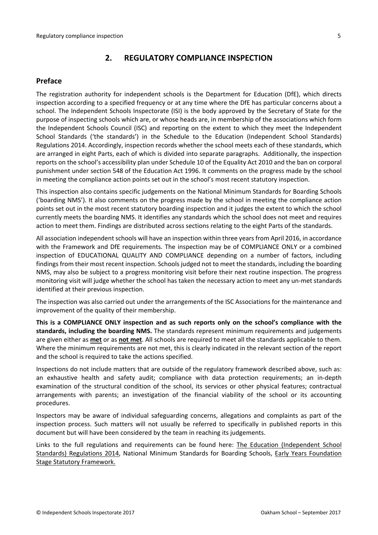# <span id="page-4-0"></span>**2. REGULATORY COMPLIANCE INSPECTION**

## <span id="page-4-1"></span>**Preface**

The registration authority for independent schools is the Department for Education (DfE), which directs inspection according to a specified frequency or at any time where the DfE has particular concerns about a school. The Independent Schools Inspectorate (ISI) is the body approved by the Secretary of State for the purpose of inspecting schools which are, or whose heads are, in membership of the associations which form the Independent Schools Council (ISC) and reporting on the extent to which they meet the Independent School Standards ('the standards') in the Schedule to the Education (Independent School Standards) Regulations 2014. Accordingly, inspection records whether the school meets each of these standards, which are arranged in eight Parts, each of which is divided into separate paragraphs. Additionally, the inspection reports on the school's accessibility plan under Schedule 10 of the Equality Act 2010 and the ban on corporal punishment under section 548 of the Education Act 1996. It comments on the progress made by the school in meeting the compliance action points set out in the school's most recent statutory inspection.

This inspection also contains specific judgements on the National Minimum Standards for Boarding Schools ('boarding NMS'). It also comments on the progress made by the school in meeting the compliance action points set out in the most recent statutory boarding inspection and it judges the extent to which the school currently meets the boarding NMS. It identifies any standards which the school does not meet and requires action to meet them. Findings are distributed across sections relating to the eight Parts of the standards.

All association independent schools will have an inspection within three yearsfrom April 2016, in accordance with the Framework and DfE requirements. The inspection may be of COMPLIANCE ONLY or a combined inspection of EDUCATIONAL QUALITY AND COMPLIANCE depending on a number of factors, including findings from their most recent inspection. Schools judged not to meet the standards, including the boarding NMS, may also be subject to a progress monitoring visit before their next routine inspection. The progress monitoring visit will judge whether the school has taken the necessary action to meet any un-met standards identified at their previous inspection.

The inspection was also carried out under the arrangements of the ISC Associations for the maintenance and improvement of the quality of their membership.

**This is a COMPLIANCE ONLY inspection and as such reports only on the school's compliance with the standards, including the boarding NMS.** The standards represent minimum requirements and judgements are given either as **met** or as **not met**. All schools are required to meet all the standards applicable to them. Where the minimum requirements are not met, this is clearly indicated in the relevant section of the report and the school is required to take the actions specified.

Inspections do not include matters that are outside of the regulatory framework described above, such as: an exhaustive health and safety audit; compliance with data protection requirements; an in-depth examination of the structural condition of the school, its services or other physical features; contractual arrangements with parents; an investigation of the financial viability of the school or its accounting procedures.

Inspectors may be aware of individual safeguarding concerns, allegations and complaints as part of the inspection process. Such matters will not usually be referred to specifically in published reports in this document but will have been considered by the team in reaching its judgements.

Links to the full regulations and requirements can be found here: The Education [\(Independent](http://www.legislation.gov.uk/uksi/2014/3283/contents/made) School Standards) [Regulations](http://www.legislation.gov.uk/uksi/2014/3283/contents/made) 2014, National Minimum [Standards](https://www.gov.uk/government/uploads/system/uploads/attachment_data/file/416186/20150319_nms_bs_standards.pdf) for Boarding Schools, Early Years [Foundation](https://www.gov.uk/government/publications/early-years-foundation-stage-framework--2) Stage Statutory [Framework.](https://www.gov.uk/government/publications/early-years-foundation-stage-framework--2)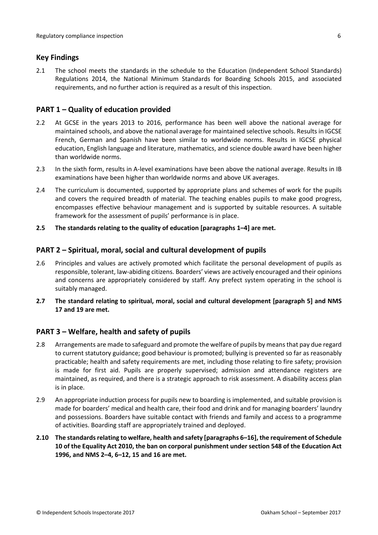## <span id="page-5-0"></span>**Key Findings**

2.1 The school meets the standards in the schedule to the Education (Independent School Standards) Regulations 2014, the National Minimum Standards for Boarding Schools 2015, and associated requirements, and no further action is required as a result of this inspection.

## <span id="page-5-1"></span>**PART 1 – Quality of education provided**

- 2.2 At GCSE in the years 2013 to 2016, performance has been well above the national average for maintained schools, and above the national average for maintained selective schools. Results in IGCSE French, German and Spanish have been similar to worldwide norms. Results in IGCSE physical education, English language and literature, mathematics, and science double award have been higher than worldwide norms.
- 2.3 In the sixth form, results in A-level examinations have been above the national average. Results in IB examinations have been higher than worldwide norms and above UK averages.
- 2.4 The curriculum is documented, supported by appropriate plans and schemes of work for the pupils and covers the required breadth of material. The teaching enables pupils to make good progress, encompasses effective behaviour management and is supported by suitable resources. A suitable framework for the assessment of pupils' performance is in place.
- **2.5 The standards relating to the quality of education [paragraphs 1–4] are met.**

### <span id="page-5-2"></span>**PART 2 – Spiritual, moral, social and cultural development of pupils**

- 2.6 Principles and values are actively promoted which facilitate the personal development of pupils as responsible, tolerant, law-abiding citizens. Boarders' views are actively encouraged and their opinions and concerns are appropriately considered by staff. Any prefect system operating in the school is suitably managed.
- **2.7 The standard relating to spiritual, moral, social and cultural development [paragraph 5] and NMS 17 and 19 are met.**

### <span id="page-5-3"></span>**PART 3 – Welfare, health and safety of pupils**

- 2.8 Arrangements are made to safeguard and promote the welfare of pupils by means that pay due regard to current statutory guidance; good behaviour is promoted; bullying is prevented so far as reasonably practicable; health and safety requirements are met, including those relating to fire safety; provision is made for first aid. Pupils are properly supervised; admission and attendance registers are maintained, as required, and there is a strategic approach to risk assessment. A disability access plan is in place.
- 2.9 An appropriate induction process for pupils new to boarding is implemented, and suitable provision is made for boarders' medical and health care, their food and drink and for managing boarders' laundry and possessions. Boarders have suitable contact with friends and family and access to a programme of activities. Boarding staff are appropriately trained and deployed.
- **2.10 The standardsrelating to welfare, health and safety [paragraphs 6–16], the requirement of Schedule 10 of the Equality Act 2010, the ban on corporal punishment under section 548 of the Education Act 1996, and NMS 2–4, 6–12, 15 and 16 are met.**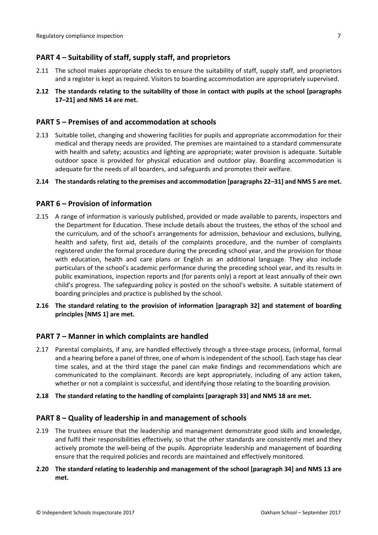# <span id="page-6-0"></span>**PART 4 – Suitability of staff, supply staff, and proprietors**

- 2.11 The school makes appropriate checks to ensure the suitability of staff, supply staff, and proprietors and a register is kept as required. Visitors to boarding accommodation are appropriately supervised.
- **2.12 The standards relating to the suitability of those in contact with pupils at the school [paragraphs 17–21] and NMS 14 are met.**

#### <span id="page-6-1"></span>**PART 5 – Premises of and accommodation at schools**

2.13 Suitable toilet, changing and showering facilities for pupils and appropriate accommodation for their medical and therapy needs are provided. The premises are maintained to a standard commensurate with health and safety; acoustics and lighting are appropriate; water provision is adequate. Suitable outdoor space is provided for physical education and outdoor play. Boarding accommodation is adequate for the needs of all boarders, and safeguards and promotes their welfare.

#### **2.14 The standardsrelating to the premises and accommodation [paragraphs 22–31] and NMS 5 are met.**

#### <span id="page-6-2"></span>**PART 6 – Provision of information**

- 2.15 A range of information is variously published, provided or made available to parents, inspectors and the Department for Education. These include details about the trustees, the ethos of the school and the curriculum, and of the school's arrangements for admission, behaviour and exclusions, bullying, health and safety, first aid, details of the complaints procedure, and the number of complaints registered under the formal procedure during the preceding school year, and the provision for those with education, health and care plans or English as an additional language. They also include particulars of the school's academic performance during the preceding school year, and its results in public examinations, inspection reports and (for parents only) a report at least annually of their own child's progress. The safeguarding policy is posted on the school's website. A suitable statement of boarding principles and practice is published by the school.
- **2.16 The standard relating to the provision of information [paragraph 32] and statement of boarding principles [NMS 1] are met.**

#### <span id="page-6-3"></span>**PART 7 – Manner in which complaints are handled**

- 2.17 Parental complaints, if any, are handled effectively through a three-stage process, (informal, formal and a hearing before a panel of three, one of whom is independent of the school). Each stage has clear time scales, and at the third stage the panel can make findings and recommendations which are communicated to the complainant. Records are kept appropriately, including of any action taken, whether or not a complaint is successful, and identifying those relating to the boarding provision.
- **2.18 The standard relating to the handling of complaints [paragraph 33] and NMS 18 are met.**

#### <span id="page-6-4"></span>**PART 8 – Quality of leadership in and management of schools**

2.19 The trustees ensure that the leadership and management demonstrate good skills and knowledge, and fulfil their responsibilities effectively, so that the other standards are consistently met and they actively promote the well-being of the pupils. Appropriate leadership and management of boarding ensure that the required policies and records are maintained and effectively monitored.

#### **2.20 The standard relating to leadership and management of the school [paragraph 34] and NMS 13 are met.**